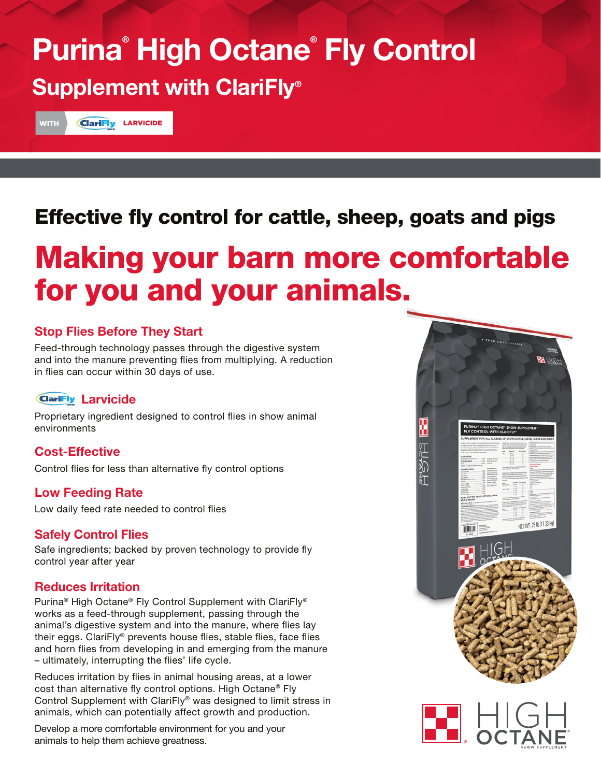# Purina® High Octane® Fly Control Supplement with ClariFly®

WITH **ClariFly LARVICIDE** 

## Effective fly control for cattle, sheep, goats and pigs

# Making your barn more comfortable for you and your animals.

#### Stop Flies Before They Start

Feed-through technology passes through the digestive system and into the manure preventing flies from multiplying. A reduction in flies can occur within 30 days of use.

#### **ClariFly Larvicide**

Proprietary ingredient designed to control flies in show animal environments

#### Cost-Effective

Control flies for less than alternative fly control options

#### Low Feeding Rate

Low daily feed rate needed to control flies

#### Safely Control Flies

Safe ingredients; backed by proven technology to provide fly control year after year

#### Reduces Irritation

Purina® High Octane® Fly Control Supplement with ClariFly® works as a feed-through supplement, passing through the animal's digestive system and into the manure, where flies lay their eggs. ClariFly® prevents house flies, stable flies, face flies and horn flies from developing in and emerging from the manure – ultimately, interrupting the flies' life cycle.

Reduces irritation by flies in animal housing areas, at a lower cost than alternative fly control options. High Octane® Fly Control Supplement with ClariFly® was designed to limit stress in animals, which can potentially affect growth and production.

Develop a more comfortable environment for you and your animals to help them achieve greatness.